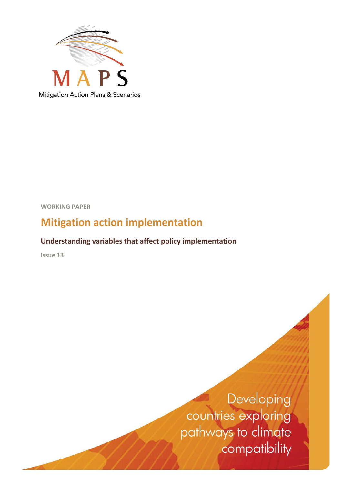

**WORKING PAPER**

## **Mitigation action implementation**

## **Understanding variables that affect policy implementation**

**Issue 13**

Developing countries exploring pathways to climate compatibility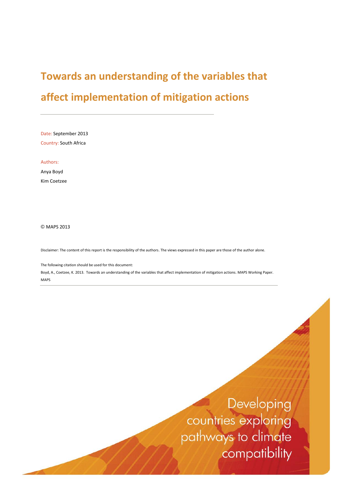## **Towards an understanding of the variables that**

## **affect implementation of mitigation actions**

Date: September 2013 Country: South Africa

Authors: Anya Boyd

Kim Coetzee

© MAPS 2013

Disclaimer: The content of this report is the responsibility of the authors. The views expressed in this paper are those of the author alone.

The following citation should be used for this document:

Boyd, A., Coetzee, K. 2013. Towards an understanding of the variables that affect implementation of mitigation actions. MAPS Working Paper. MAPS

> Developing countries exploring pathways to climate compatibility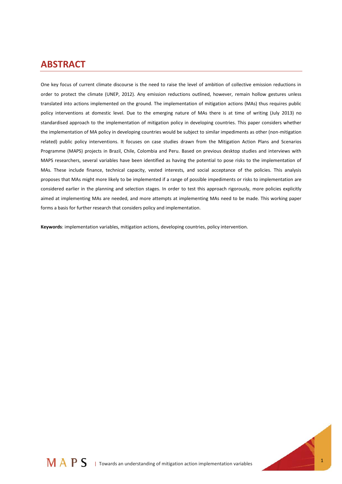## **ABSTRACT**

One key focus of current climate discourse is the need to raise the level of ambition of collective emission reductions in order to protect the climate (UNEP, 2012). Any emission reductions outlined, however, remain hollow gestures unless translated into actions implemented on the ground. The implementation of mitigation actions (MAs) thus requires public policy interventions at domestic level. Due to the emerging nature of MAs there is at time of writing (July 2013) no standardised approach to the implementation of mitigation policy in developing countries. This paper considers whether the implementation of MA policy in developing countries would be subject to similar impediments as other (non-mitigation related) public policy interventions. It focuses on case studies drawn from the Mitigation Action Plans and Scenarios Programme (MAPS) projects in Brazil, Chile, Colombia and Peru. Based on previous desktop studies and interviews with MAPS researchers, several variables have been identified as having the potential to pose risks to the implementation of MAs. These include finance, technical capacity, vested interests, and social acceptance of the policies. This analysis proposes that MAs might more likely to be implemented if a range of possible impediments or risks to implementation are considered earlier in the planning and selection stages. In order to test this approach rigorously, more policies explicitly aimed at implementing MAs are needed, and more attempts at implementing MAs need to be made. This working paper forms a basis for further research that considers policy and implementation.

**Keywords**: implementation variables, mitigation actions, developing countries, policy intervention.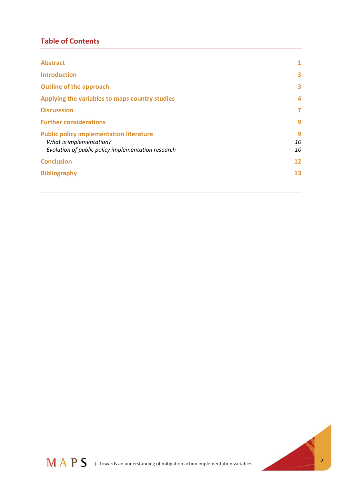### **Table of Contents**

| <b>Abstract</b>                                                                                                                 | 1             |
|---------------------------------------------------------------------------------------------------------------------------------|---------------|
| <b>Introduction</b>                                                                                                             | 3             |
| <b>Outline of the approach</b>                                                                                                  | 3             |
| Applying the variables to maps country studies                                                                                  | 4             |
| <b>Discusssion</b>                                                                                                              | 7             |
| <b>Further considerations</b>                                                                                                   | 9             |
| <b>Public policy implementation literature</b><br>What is implementation?<br>Evolution of public policy implementation research | 9<br>10<br>10 |
| <b>Conclusion</b>                                                                                                               | 12            |
| <b>Bibliography</b>                                                                                                             | 13            |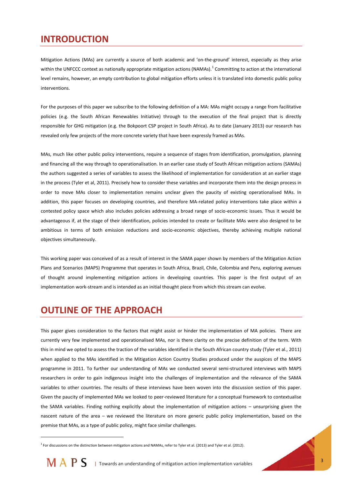## **INTRODUCTION**

Mitigation Actions (MAs) are currently a source of both academic and 'on-the-ground' interest, especially as they arise within the UNFCCC context as nationally appropriate mitigation actions (NAMAs). $^1$  Committing to action at the international level remains, however, an empty contribution to global mitigation efforts unless it is translated into domestic public policy interventions.

For the purposes of this paper we subscribe to the following definition of a MA: MAs might occupy a range from facilitative policies (e.g. the South African Renewables Initiative) through to the execution of the final project that is directly responsible for GHG mitigation (e.g. the Bokpoort CSP project in South Africa). As to date (January 2013) our research has revealed only few projects of the more concrete variety that have been expressly framed as MAs.

MAs, much like other public policy interventions, require a sequence of stages from identification, promulgation, planning and financing all the way through to operationalisation. In an earlier case study of South African mitigation actions (SAMAs) the authors suggested a series of variables to assess the likelihood of implementation for consideration at an earlier stage in the process (Tyler et al, 2011). Precisely how to consider these variables and incorporate them into the design process in order to move MAs closer to implementation remains unclear given the paucity of existing operationalised MAs. In addition, this paper focuses on developing countries, and therefore MA-related policy interventions take place within a contested policy space which also includes policies addressing a broad range of socio-economic issues. Thus it would be advantageous if, at the stage of their identification, policies intended to create or facilitate MAs were also designed to be ambitious in terms of both emission reductions and socio-economic objectives, thereby achieving multiple national objectives simultaneously.

This working paper was conceived of as a result of interest in the SAMA paper shown by members of the Mitigation Action Plans and Scenarios (MAPS) Programme that operates in South Africa, Brazil, Chile, Colombia and Peru, exploring avenues of thought around implementing mitigation actions in developing countries. This paper is the first output of an implementation work-stream and is intended as an initial thought piece from which this stream can evolve.

## **OUTLINE OF THE APPROACH**

l

This paper gives consideration to the factors that might assist or hinder the implementation of MA policies. There are currently very few implemented and operationalised MAs, nor is there clarity on the precise definition of the term. With this in mind we opted to assess the traction of the variables identified in the South African country study (Tyler et al., 2011) when applied to the MAs identified in the Mitigation Action Country Studies produced under the auspices of the MAPS programme in 2011. To further our understanding of MAs we conducted several semi-structured interviews with MAPS researchers in order to gain indigenous insight into the challenges of implementation and the relevance of the SAMA variables to other countries. The results of these interviews have been woven into the discussion section of this paper. Given the paucity of implemented MAs we looked to peer-reviewed literature for a conceptual framework to contextualise the SAMA variables. Finding nothing explicitly about the implementation of mitigation actions – unsurprising given the nascent nature of the area – we reviewed the literature on more generic public policy implementation, based on the premise that MAs, as a type of public policy, might face similar challenges.

<sup>&</sup>lt;sup>1</sup> For discussions on the distinction between mitigation actions and NAMAs, refer to Tyler et al. (2013) and Tyler et al. (2012).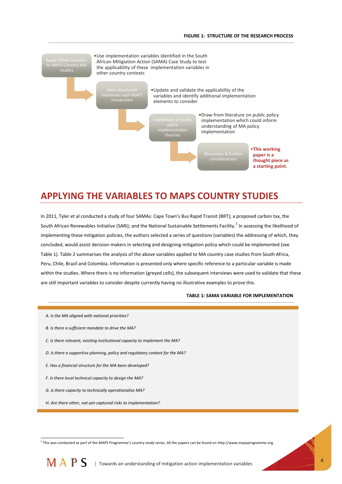

## **APPLYING THE VARIABLES TO MAPS COUNTRY STUDIES**

In 2011, Tyler et al conducted a study of four SAMAs: Cape Town's Bus Rapid Transit (BRT); a proposed carbon tax, the South African Renewables Initiative (SARi); and the National Sustainable Settlements Facility.<sup>2</sup> In assessing the likelihood of implementing these mitigation policies, the authors selected a series of questions (variables) the addressing of which, they concluded, would assist decision-makers in selecting and designing mitigation policy which could be implemented (see Table 1). Table 2 summarises the analysis of the above variables applied to MA country case studies from South Africa, Peru, Chile, Brazil and Colombia. Information is presented only where specific reference to a particular variable is made within the studies. Where there is no information (greyed cells), the subsequent interviews were used to validate that these are still important variables to consider despite currently having no illustrative examples to prove this.

#### **TABLE 1: SAMA VARIABLE FOR IMPLEMENTATION**

*A. Is the MA aligned with national priorities? B. Is there a sufficient mandate to drive the MA? C. Is there relevant, existing institutional capacity to implement the MA? D. Is there a supportive planning, policy and regulatory context for the MA? E. Has a financial structure for the MA been developed? F. Is there local technical capacity to design the MA? G. Is there capacity to technically operationalise MA? H. Are there other, not-yet-captured risks to implementation?*

2 This was conducted as part of the MAPS Programme's country study series. All the papers can be found on [http://www.mapsprogramme.org.](http://www.mapsprogramme.org/) 

M A P S | Towards an understanding of mitigation action implementation variables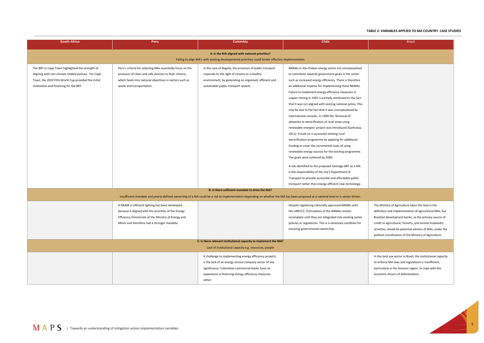# 5

#### **TABLE 2: VARIABLES APPLIED TO MA COUNTRY CASE STUDIES**

| <b>South Africa</b>                                                                                                                                                                                     | Peru                                                                                                                                                                                                           | <b>Colombia</b>                                                                                                                                                                                                                       | <b>Chile</b>                                                                                                                                                                                                                                                                                                                                                                                                                                                                                                                                                                                                                                                                                                                                                                                                                                                                                                                                                                                                                                                                                                                          | <b>Brazil</b>                                                                                                                                                                                                   |  |  |
|---------------------------------------------------------------------------------------------------------------------------------------------------------------------------------------------------------|----------------------------------------------------------------------------------------------------------------------------------------------------------------------------------------------------------------|---------------------------------------------------------------------------------------------------------------------------------------------------------------------------------------------------------------------------------------|---------------------------------------------------------------------------------------------------------------------------------------------------------------------------------------------------------------------------------------------------------------------------------------------------------------------------------------------------------------------------------------------------------------------------------------------------------------------------------------------------------------------------------------------------------------------------------------------------------------------------------------------------------------------------------------------------------------------------------------------------------------------------------------------------------------------------------------------------------------------------------------------------------------------------------------------------------------------------------------------------------------------------------------------------------------------------------------------------------------------------------------|-----------------------------------------------------------------------------------------------------------------------------------------------------------------------------------------------------------------|--|--|
| A: Is the MA aligned with national priorities?<br>Failing to align MA's with existing developmental priorities could hinder effective implementation                                                    |                                                                                                                                                                                                                |                                                                                                                                                                                                                                       |                                                                                                                                                                                                                                                                                                                                                                                                                                                                                                                                                                                                                                                                                                                                                                                                                                                                                                                                                                                                                                                                                                                                       |                                                                                                                                                                                                                 |  |  |
| The BRT in Cape Town highlighted the strength of<br>aligning with non-climate related policies. For Cape<br>Town, the 2010 FIFA World Cup provided the initial<br>motivation and financing for the BRT. | Peru's criteria for selecting MAs essentially focus on the<br>provision of clean and safe services to their citizens,<br>which feeds into national objectives in sectors such as<br>waste and transportation.  | In the case of Bogota, the provision of public transport<br>responds to the right of citizens to a healthy<br>environment, by generating an organised, efficient and<br>sustainable public transport system.                          | NAMAs in the Chilean energy sector are conceptualised<br>to contribute towards government goals in the sector<br>such as increased energy efficiency. There is therefore<br>an additional impetus for implementing these NAMAs.<br>Failure to implement energy efficiency measures in<br>copper mining in 1992 is partially attributed to the fact<br>that it was not aligned with existing national policy. This<br>may be due to the fact that it was conceptualised by<br>international consults. In 1999 the 'Removal of<br>obstacles to electrification of rural areas using<br>renewable energies' project was introduced (Sanhueza,<br>2011). It built on a successful existing rural<br>electrification programme by applying for additional<br>funding to cover the incremental costs of using<br>renewable energy sources for the existing programme.<br>The goals were achieved by 2000.<br>A risk identified to the proposed Santiago BRT as a MA<br>is the responsibility of the city's Department of<br>Transport to provide accessible and affordable public<br>transport rather than energy-efficient new technology. |                                                                                                                                                                                                                 |  |  |
|                                                                                                                                                                                                         |                                                                                                                                                                                                                | B: Is there sufficient mandate to drive the MA?                                                                                                                                                                                       |                                                                                                                                                                                                                                                                                                                                                                                                                                                                                                                                                                                                                                                                                                                                                                                                                                                                                                                                                                                                                                                                                                                                       |                                                                                                                                                                                                                 |  |  |
| Insufficient mandate and poorly defined ownership of a MA could be a risk to implementation depending on whether the MA has been proposed at a national level or is sector-driven.                      |                                                                                                                                                                                                                |                                                                                                                                                                                                                                       |                                                                                                                                                                                                                                                                                                                                                                                                                                                                                                                                                                                                                                                                                                                                                                                                                                                                                                                                                                                                                                                                                                                                       |                                                                                                                                                                                                                 |  |  |
|                                                                                                                                                                                                         | A NAMA in efficient lighting has been developed<br>because it aligned with the priorities of the Energy<br>Efficiency Directorate of the Ministry of Energy and<br>Mines and therefore had a stronger mandate. |                                                                                                                                                                                                                                       | Despite registering nationally approved NAMAs with<br>the UNFCCC, formulation of the NAMAs remain<br>incomplete until they are integrated into existing sector<br>policies or regulations. This is a necessary condition for<br>ensuring governmental ownership.                                                                                                                                                                                                                                                                                                                                                                                                                                                                                                                                                                                                                                                                                                                                                                                                                                                                      | The Ministry of Agriculture tak<br>definition and implementation<br>Brazilian development banks, a<br>credit to agricultural, forestry,<br>activities, would be potential o<br>political coordination of the Mi |  |  |
|                                                                                                                                                                                                         |                                                                                                                                                                                                                | C: Is there relevant institutional capacity to implement the MA?                                                                                                                                                                      |                                                                                                                                                                                                                                                                                                                                                                                                                                                                                                                                                                                                                                                                                                                                                                                                                                                                                                                                                                                                                                                                                                                                       |                                                                                                                                                                                                                 |  |  |
|                                                                                                                                                                                                         |                                                                                                                                                                                                                | Lack of institutional capacity e.g. resources, people                                                                                                                                                                                 |                                                                                                                                                                                                                                                                                                                                                                                                                                                                                                                                                                                                                                                                                                                                                                                                                                                                                                                                                                                                                                                                                                                                       |                                                                                                                                                                                                                 |  |  |
|                                                                                                                                                                                                         |                                                                                                                                                                                                                | A challenge to implementing energy efficiency projects<br>is the lack of an energy service company sector of any<br>significance. Colombian commercial banks have no<br>experience in financing energy efficiency measures<br>either. |                                                                                                                                                                                                                                                                                                                                                                                                                                                                                                                                                                                                                                                                                                                                                                                                                                                                                                                                                                                                                                                                                                                                       | In the land use sector in Brazil,<br>to enforce MA laws and regula<br>particularly in the Amazon regi<br>economic drivers of deforestat                                                                         |  |  |

The Ministry of Agriculture takes the lead in the definition and implementation of agricultural MAs, but Brazilian development banks, as the primary source of credit to agricultural, forestry, and animal husbandry activities, would be potential owners of MAs, under the political coordination of the Ministry of Agriculture. In the land use sector in Brazil, the institutional capacity to enforce MA laws and regulations is insufficient,

particularly in the Amazon region, to cope with the economic drivers of deforestation.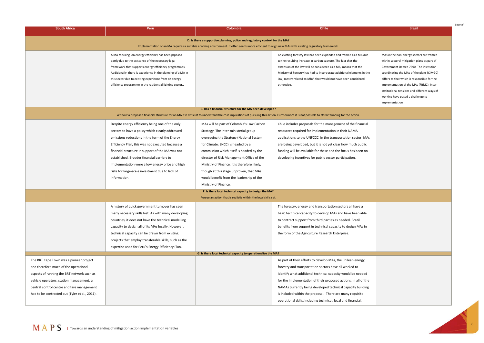Source'

| <b>South Africa</b>                                                                                                                                                                                                                                                        | Peru                                                                                                                                                                                                                                                                                                                                                                                                                              | <b>Colombia</b>                                                                                                                                                                                                                                                                                                                                                                                                             | <b>Chile</b>                                                                                                                                                                                                                                                                                                                                                                                                                                          | <b>Brazil</b>                                                                                                                                                                                                                   |  |  |  |
|----------------------------------------------------------------------------------------------------------------------------------------------------------------------------------------------------------------------------------------------------------------------------|-----------------------------------------------------------------------------------------------------------------------------------------------------------------------------------------------------------------------------------------------------------------------------------------------------------------------------------------------------------------------------------------------------------------------------------|-----------------------------------------------------------------------------------------------------------------------------------------------------------------------------------------------------------------------------------------------------------------------------------------------------------------------------------------------------------------------------------------------------------------------------|-------------------------------------------------------------------------------------------------------------------------------------------------------------------------------------------------------------------------------------------------------------------------------------------------------------------------------------------------------------------------------------------------------------------------------------------------------|---------------------------------------------------------------------------------------------------------------------------------------------------------------------------------------------------------------------------------|--|--|--|
| D. Is there a supportive planning, policy and regulatory context for the MA?                                                                                                                                                                                               |                                                                                                                                                                                                                                                                                                                                                                                                                                   |                                                                                                                                                                                                                                                                                                                                                                                                                             |                                                                                                                                                                                                                                                                                                                                                                                                                                                       |                                                                                                                                                                                                                                 |  |  |  |
| Implementation of an MA requires a suitable enabling environment. It often seems more efficient to align new MAs with existing regulatory framework.                                                                                                                       |                                                                                                                                                                                                                                                                                                                                                                                                                                   |                                                                                                                                                                                                                                                                                                                                                                                                                             |                                                                                                                                                                                                                                                                                                                                                                                                                                                       |                                                                                                                                                                                                                                 |  |  |  |
|                                                                                                                                                                                                                                                                            | A MA focusing on energy efficiency has been prposed<br>partly due to the existence of the necessary legal<br>framework that supports energy efficiency programmes.<br>Additionally, there is experience in the planning of a MA in<br>this sector due to existing experience from an energy                                                                                                                                       |                                                                                                                                                                                                                                                                                                                                                                                                                             | An existing forestry law has been expanded and framed as a MA due<br>to the resulting increase in carbon capture. The fact that the<br>extension of the law will be considered as a MA, means that the<br>Ministry of Forestry has had to incorporate additional elements in the<br>law, mostly related to MRV, that would not have been considered                                                                                                   | MAs in the non-energy sectors are framed<br>within sectoral mitigation plans as part of<br>Government Decree 7390. The institution<br>coordinating the MAs of the plans (CIMGC)<br>differs to that which is responsible for the |  |  |  |
|                                                                                                                                                                                                                                                                            | efficiency programme in the residential lighting sector                                                                                                                                                                                                                                                                                                                                                                           | E. Has a financial structure for the MA been developed?                                                                                                                                                                                                                                                                                                                                                                     | otherwise.                                                                                                                                                                                                                                                                                                                                                                                                                                            | implementation of the MAs (FBMC). Inter-<br>institutional tensions and different ways of<br>working have posed a challenge to<br>implementation.                                                                                |  |  |  |
|                                                                                                                                                                                                                                                                            |                                                                                                                                                                                                                                                                                                                                                                                                                                   |                                                                                                                                                                                                                                                                                                                                                                                                                             | Without a proposed financial structure for an MA it is difficult to understand the cost implications of pursuing this action. Furthermore it is not possible to attract funding for the action.                                                                                                                                                                                                                                                       |                                                                                                                                                                                                                                 |  |  |  |
|                                                                                                                                                                                                                                                                            | Despite energy efficiency being one of the only<br>sectors to have a policy which clearly addressed<br>emissions reductions in the form of the Energy<br>Efficiency Plan, this was not executed because a<br>financial structure in support of the MA was not<br>established. Broader financial barriers to<br>implementation were a low energy price and high<br>risks for large-scale investment due to lack of<br>information. | MAs will be part of Colombia's Low Carbon<br>Strategy. The inter-ministerial group<br>overseeing the Strategy (National System<br>for Climate: SNCC) is headed by a<br>commission which itself is headed by the<br>director of Risk Management Office of the<br>Ministry of Finance. It is therefore likely,<br>though at this stage unproven, that MAs<br>would benefit from the leadership of the<br>Ministry of Finance. | Chile includes proposals for the management of the financial<br>resources required for implementation in their NAMA<br>applications to the UNFCCC. In the transportation sector, MAs<br>are being developed, but it is not yet clear how much public<br>funding will be available for these and the focus has been on<br>developing incentives for public sector participation.                                                                       |                                                                                                                                                                                                                                 |  |  |  |
|                                                                                                                                                                                                                                                                            |                                                                                                                                                                                                                                                                                                                                                                                                                                   | F. Is there local technical capacity to design the MA?<br>Pursue an action that is realistic within the local skills set.                                                                                                                                                                                                                                                                                                   |                                                                                                                                                                                                                                                                                                                                                                                                                                                       |                                                                                                                                                                                                                                 |  |  |  |
|                                                                                                                                                                                                                                                                            | A history of quick government turnover has seen<br>many necessary skills lost. As with many developing<br>countries, it does not have the technical modelling<br>capacity to design all of its MAs locally. However,<br>technical capacity can be drawn from existing<br>projects that employ transferable skills, such as the<br>expertise used for Peru's Energy Efficiency Plan.                                               |                                                                                                                                                                                                                                                                                                                                                                                                                             | The forestry, energy and transportation sectors all have a<br>basic technical capacity to develop MAs and have been able<br>to contract support from third parties as needed. Brazil<br>benefits from support in technical capacity to design MAs in<br>the form of the Agriculture Research Enterprise.                                                                                                                                              |                                                                                                                                                                                                                                 |  |  |  |
| G. Is there local technical capacity to operationalize the MA?                                                                                                                                                                                                             |                                                                                                                                                                                                                                                                                                                                                                                                                                   |                                                                                                                                                                                                                                                                                                                                                                                                                             |                                                                                                                                                                                                                                                                                                                                                                                                                                                       |                                                                                                                                                                                                                                 |  |  |  |
| The BRT Cape Town was a pioneer project<br>and therefore much of the operational<br>aspects of running the BRT network such as<br>vehicle operators, station management, a<br>central control centre and fare management<br>had to be contracted out (Tyler et al., 2011). |                                                                                                                                                                                                                                                                                                                                                                                                                                   |                                                                                                                                                                                                                                                                                                                                                                                                                             | As part of their efforts to develop MAs, the Chilean energy,<br>forestry and transportation sectors have all worked to<br>identify what additional technical capacity would be needed<br>for the implementation of their proposed actions. In all of the<br>NAMAs currently being developed technical capacity building<br>is included within the proposal. There are many requisite<br>operational skills, including technical, legal and financial. |                                                                                                                                                                                                                                 |  |  |  |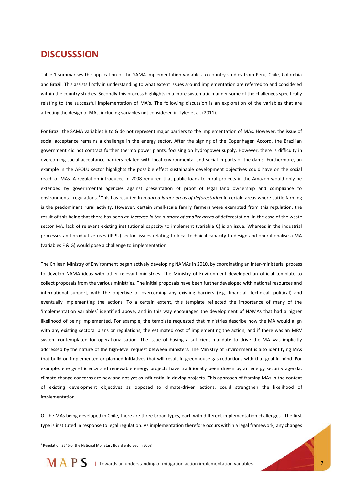## **DISCUSSSION**

Table 1 summarises the application of the SAMA implementation variables to country studies from Peru, Chile, Colombia and Brazil. This assists firstly in understanding to what extent issues around implementation are referred to and considered within the country studies. Secondly this process highlights in a more systematic manner some of the challenges specifically relating to the successful implementation of MA's. The following discussion is an exploration of the variables that are affecting the design of MAs, including variables not considered in Tyler et al. (2011).

For Brazil the SAMA variables B to G do not represent major barriers to the implementation of MAs. However, the issue of social acceptance remains a challenge in the energy sector. After the signing of the Copenhagen Accord, the Brazilian government did not contract further thermo power plants, focusing on hydropower supply. However, there is difficulty in overcoming social acceptance barriers related with local environmental and social impacts of the dams. Furthermore, an example in the AFOLU sector highlights the possible effect sustainable development objectives could have on the social reach of MAs. A regulation introduced in 2008 required that public loans to rural projects in the Amazon would only be extended by governmental agencies against presentation of proof of legal land ownership and compliance to environmental regulations.<sup>3</sup> This has resulted in *reduced larger areas of deforestation* in certain areas where cattle farming is the predominant rural activity. However, certain small-scale family farmers were exempted from this regulation, the result of this being that there has been *an increase in the number of smaller areas* of deforestation. In the case of the waste sector MA, lack of relevant existing institutional capacity to implement (variable C) is an issue. Whereas in the industrial processes and productive uses (IPPU) sector, issues relating to local technical capacity to design and operationalise a MA (variables F & G) would pose a challenge to implementation.

The Chilean Ministry of Environment began actively developing NAMAs in 2010, by coordinating an inter-ministerial process to develop NAMA ideas with other relevant ministries. The Ministry of Environment developed an official template to collect proposals from the various ministries. The initial proposals have been further developed with national resources and international support, with the objective of overcoming any existing barriers (e.g. financial, technical, political) and eventually implementing the actions. To a certain extent, this template reflected the importance of many of the 'implementation variables' identified above, and in this way encouraged the development of NAMAs that had a higher likelihood of being implemented. For example, the template requested that ministries describe how the MA would align with any existing sectoral plans or regulations, the estimated cost of implementing the action, and if there was an MRV system contemplated for operationalisation. The issue of having a sufficient mandate to drive the MA was implicitly addressed by the nature of the high-level request between ministers. The Ministry of Environment is also identifying MAs that build on implemented or planned initiatives that will result in greenhouse gas reductions with that goal in mind. For example, energy efficiency and renewable energy projects have traditionally been driven by an energy security agenda; climate change concerns are new and not yet as influential in driving projects. This approach of framing MAs in the context of existing development objectives as opposed to climate-driven actions, could strengthen the likelihood of implementation.

Of the MAs being developed in Chile, there are three broad types, each with different implementation challenges. The first type is instituted in response to legal regulation. As implementation therefore occurs within a legal framework, any changes

<sup>&</sup>lt;sup>3</sup> Regulation 3545 of the National Monetary Board enforced in 2008.



-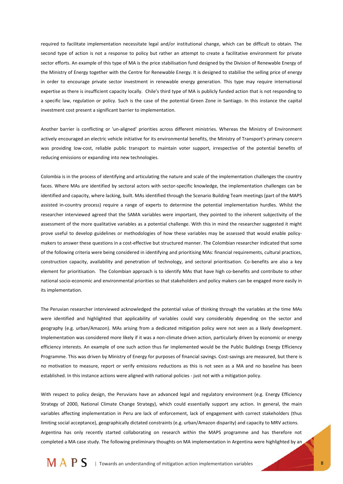required to facilitate implementation necessitate legal and/or institutional change, which can be difficult to obtain. The second type of action is not a response to policy but rather an attempt to create a facilitative environment for private sector efforts. An example of this type of MA is the price stabilisation fund designed by the Division of Renewable Energy of the Ministry of Energy together with the Centre for Renewable Energy. It is designed to stabilise the selling price of energy in order to encourage private sector investment in renewable energy generation. This type may require international expertise as there is insufficient capacity locally. Chile's third type of MA is publicly funded action that is not responding to a specific law, regulation or policy. Such is the case of the potential Green Zone in Santiago. In this instance the capital investment cost present a significant barrier to implementation.

Another barrier is conflicting or 'un-aligned' priorities across different ministries. Whereas the Ministry of Environment actively encouraged an electric vehicle initiative for its environmental benefits, the Ministry of Transport's primary concern was providing low-cost, reliable public transport to maintain voter support, irrespective of the potential benefits of reducing emissions or expanding into new technologies.

Colombia is in the process of identifying and articulating the nature and scale of the implementation challenges the country faces. Where MAs are identified by sectoral actors with sector-specific knowledge, the implementation challenges can be identified and capacity, where lacking, built. MAs identified through the Scenario Building Team meetings (part of the MAPS assisted in-country process) require a range of experts to determine the potential implementation hurdles. Whilst the researcher interviewed agreed that the SAMA variables were important, they pointed to the inherent subjectivity of the assessment of the more qualitative variables as a potential challenge. With this in mind the researcher suggested it might prove useful to develop guidelines or methodologies of how these variables may be assessed that would enable policymakers to answer these questions in a cost-effective but structured manner. The Colombian researcher indicated that some of the following criteria were being considered in identifying and prioritising MAs: financial requirements, cultural practices, construction capacity, availability and penetration of technology, and sectoral prioritisation. Co-benefits are also a key element for prioritisation. The Colombian approach is to identify MAs that have high co-benefits and contribute to other national socio-economic and environmental priorities so that stakeholders and policy makers can be engaged more easily in its implementation.

The Peruvian researcher interviewed acknowledged the potential value of thinking through the variables at the time MAs were identified and highlighted that applicability of variables could vary considerably depending on the sector and geography (e.g. urban/Amazon). MAs arising from a dedicated mitigation policy were not seen as a likely development. Implementation was considered more likely if it was a non-climate driven action, particularly driven by economic or energy efficiency interests. An example of one such action thus far implemented would be the Public Buildings Energy Efficiency Programme. This was driven by Ministry of Energy for purposes of financial savings. Cost-savings are measured, but there is no motivation to measure, report or verify emissions reductions as this is not seen as a MA and no baseline has been established. In this instance actions were aligned with national policies - just not with a mitigation policy.

With respect to policy design, the Peruvians have an advanced legal and regulatory environment (e.g. Energy Efficiency Strategy of 2000, National Climate Change Strategy), which could essentially support any action. In general, the main variables affecting implementation in Peru are lack of enforcement, lack of engagement with correct stakeholders (thus limiting social acceptance), geographically dictated constraints (e.g. urban/Amazon disparity) and capacity to MRV actions. Argentina has only recently started collaborating on research within the MAPS programme and has therefore not completed a MA case study. The following preliminary thoughts on MA implementation in Argentina were highlighted by an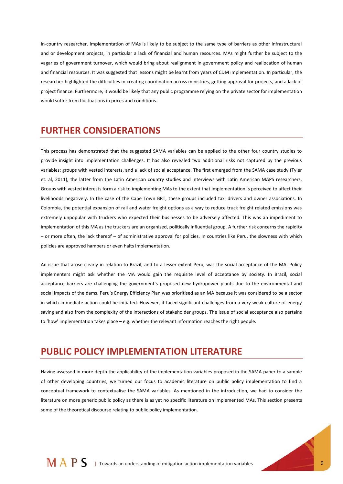in-country researcher. Implementation of MAs is likely to be subject to the same type of barriers as other infrastructural and or development projects, in particular a lack of financial and human resources. MAs might further be subject to the vagaries of government turnover, which would bring about realignment in government policy and reallocation of human and financial resources. It was suggested that lessons might be learnt from years of CDM implementation. In particular, the researcher highlighted the difficulties in creating coordination across ministries, getting approval for projects, and a lack of project finance. Furthermore, it would be likely that any public programme relying on the private sector for implementation would suffer from fluctuations in prices and conditions.

## **FURTHER CONSIDERATIONS**

This process has demonstrated that the suggested SAMA variables can be applied to the other four country studies to provide insight into implementation challenges. It has also revealed two additional risks not captured by the previous variables: groups with vested interests, and a lack of social acceptance. The first emerged from the SAMA case study (Tyler et. al, 2011), the latter from the Latin American country studies and interviews with Latin American MAPS researchers. Groups with vested interests form a risk to implementing MAs to the extent that implementation is perceived to affect their livelihoods negatively. In the case of the Cape Town BRT, these groups included taxi drivers and owner associations. In Colombia, the potential expansion of rail and water freight options as a way to reduce truck freight related emissions was extremely unpopular with truckers who expected their businesses to be adversely affected. This was an impediment to implementation of this MA as the truckers are an organised, politically influential group. A further risk concerns the rapidity – or more often, the lack thereof – of administrative approval for policies. In countries like Peru, the slowness with which policies are approved hampers or even halts implementation.

An issue that arose clearly in relation to Brazil, and to a lesser extent Peru, was the social acceptance of the MA. Policy implementers might ask whether the MA would gain the requisite level of acceptance by society. In Brazil, social acceptance barriers are challenging the government's proposed new hydropower plants due to the environmental and social impacts of the dams. Peru's Energy Efficiency Plan was prioritised as an MA because it was considered to be a sector in which immediate action could be initiated. However, it faced significant challenges from a very weak culture of energy saving and also from the complexity of the interactions of stakeholder groups. The issue of social acceptance also pertains to 'how' implementation takes place – e.g. whether the relevant information reaches the right people.

## **PUBLIC POLICY IMPLEMENTATION LITERATURE**

Having assessed in more depth the applicability of the implementation variables proposed in the SAMA paper to a sample of other developing countries, we turned our focus to academic literature on public policy implementation to find a conceptual framework to contextualise the SAMA variables. As mentioned in the introduction, we had to consider the literature on more generic public policy as there is as yet no specific literature on implemented MAs. This section presents some of the theoretical discourse relating to public policy implementation.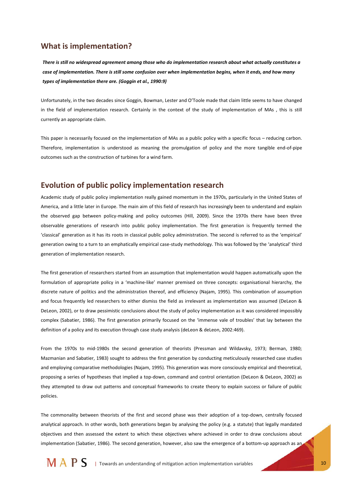#### **What is implementation?**

*There is still no widespread agreement among those who do implementation research about what actually constitutes a case of implementation. There is still some confusion over when implementation begins, when it ends, and how many types of implementation there are. (Goggin et al., 1990:9)* 

Unfortunately, in the two decades since Goggin, Bowman, Lester and O'Toole made that claim little seems to have changed in the field of implementation research. Certainly in the context of the study of implementation of MAs , this is still currently an appropriate claim.

This paper is necessarily focused on the implementation of MAs as a public policy with a specific focus – reducing carbon. Therefore, implementation is understood as meaning the promulgation of policy and the more tangible end-of-pipe outcomes such as the construction of turbines for a wind farm.

#### **Evolution of public policy implementation research**

Academic study of public policy implementation really gained momentum in the 1970s, particularly in the United States of America, and a little later in Europe. The main aim of this field of research has increasingly been to understand and explain the observed gap between policy-making and policy outcomes (Hill, 2009). Since the 1970s there have been three observable generations of research into public policy implementation. The first generation is frequently termed the 'classical' generation as it has its roots in classical public policy administration. The second is referred to as the 'empirical' generation owing to a turn to an emphatically empirical case-study methodology. This was followed by the 'analytical' third generation of implementation research.

The first generation of researchers started from an assumption that implementation would happen automatically upon the formulation of appropriate policy in a 'machine-like' manner premised on three concepts: organisational hierarchy, the discrete nature of politics and the administration thereof, and efficiency (Najam, 1995). This combination of assumption and focus frequently led researchers to either dismiss the field as irrelevant as implementation was assumed (DeLeon & DeLeon, 2002), or to draw pessimistic conclusions about the study of policy implementation as it was considered impossibly complex (Sabatier, 1986). The first generation primarily focused on the 'immense vale of troubles' that lay between the definition of a policy and its execution through case study analysis (deLeon & deLeon, 2002:469).

From the 1970s to mid-1980s the second generation of theorists (Pressman and Wildavsky, 1973; Berman, 1980; Mazmanian and Sabatier, 1983) sought to address the first generation by conducting meticulously researched case studies and employing comparative methodologies (Najam, 1995). This generation was more consciously empirical and theoretical, proposing a series of hypotheses that implied a top-down, command and control orientation (DeLeon & DeLeon, 2002) as they attempted to draw out patterns and conceptual frameworks to create theory to explain success or failure of public policies.

The commonality between theorists of the first and second phase was their adoption of a top-down, centrally focused analytical approach. In other words, both generations began by analysing the policy (e.g. a statute) that legally mandated objectives and then assessed the extent to which these objectives where achieved in order to draw conclusions about implementation (Sabatier, 1986). The second generation, however, also saw the emergence of a bottom-up approach as an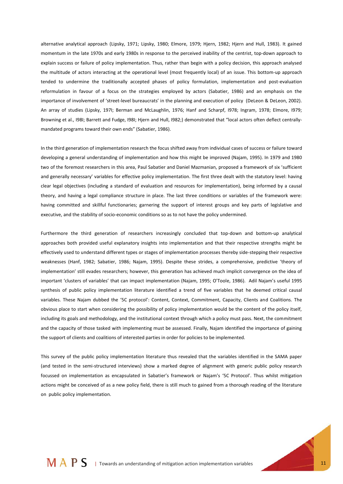alternative analytical approach (Lipsky, 1971; Lipsky, 1980; Elmore, 1979; Hjern, 1982; Hjern and Hull, 1983). It gained momentum in the late 1970s and early 1980s in response to the perceived inability of the centrist, top-down approach to explain success or failure of policy implementation. Thus, rather than begin with a policy decision, this approach analysed the multitude of actors interacting at the operational level (most frequently local) of an issue. This bottom-up approach tended to undermine the traditionally accepted phases of policy formulation, implementation and post-evaluation reformulation in favour of a focus on the strategies employed by actors (Sabatier, 1986) and an emphasis on the importance of involvement of 'street-level bureaucrats' in the planning and execution of policy (DeLeon & DeLeon, 2002). An array of studies (Lipsky, 197I; Berman and McLaughlin, 1976; Hanf and Scharpf, I978; Ingram, 1978; Elmore, I979; Browning et al., I98I; Barrett and Fudge, I98I; Hjern and Hull, I982;) demonstrated that "local actors often deflect centrallymandated programs toward their own ends" (Sabatier, 1986).

In the third generation of implementation research the focus shifted away from individual cases of success or failure toward developing a general understanding of implementation and how this might be improved (Najam, 1995). In 1979 and 1980 two of the foremost researchers in this area, Paul Sabatier and Daniel Mazmanian, proposed a framework of six 'sufficient and generally necessary' variables for effective policy implementation. The first three dealt with the statutory level: having clear legal objectives (including a standard of evaluation and resources for implementation), being informed by a causal theory, and having a legal compliance structure in place. The last three conditions or variables of the framework were: having committed and skillful functionaries; garnering the support of interest groups and key parts of legislative and executive, and the stability of socio-economic conditions so as to not have the policy undermined.

Furthermore the third generation of researchers increasingly concluded that top-down and bottom-up analytical approaches both provided useful explanatory insights into implementation and that their respective strengths might be effectively used to understand different types or stages of implementation processes thereby side-stepping their respective weaknesses (Hanf, 1982; Sabatier, 1986; Najam, 1995). Despite these strides, a comprehensive, predictive 'theory of implementation' still evades researchers; however, this generation has achieved much implicit convergence on the idea of important 'clusters of variables' that can impact implementation (Najam, 1995; O'Toole, 1986). Adil Najam's useful 1995 synthesis of public policy implementation literature identified a trend of five variables that he deemed critical causal variables. These Najam dubbed the '5C protocol': Content, Context, Commitment, Capacity, Clients and Coalitions. The obvious place to start when considering the possibility of policy implementation would be the content of the policy itself, including its goals and methodology, and the institutional context through which a policy must pass. Next, the commitment and the capacity of those tasked with implementing must be assessed. Finally, Najam identified the importance of gaining the support of clients and coalitions of interested parties in order for policies to be implemented.

This survey of the public policy implementation literature thus revealed that the variables identified in the SAMA paper (and tested in the semi-structured interviews) show a marked degree of alignment with generic public policy research focussed on implementation as encapsulated in Sabatier's framework or Najam's '5C Protocol'. Thus whilst mitigation actions might be conceived of as a new policy field, there is still much to gained from a thorough reading of the literature on public policy implementation.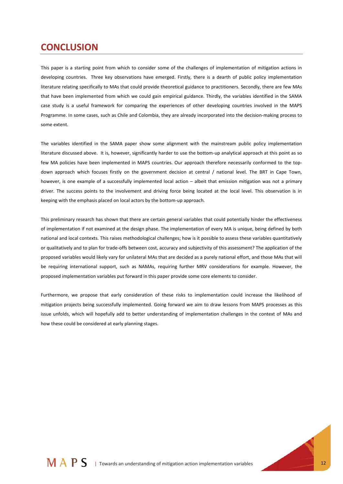## **CONCLUSION**

This paper is a starting point from which to consider some of the challenges of implementation of mitigation actions in developing countries. Three key observations have emerged. Firstly, there is a dearth of public policy implementation literature relating specifically to MAs that could provide theoretical guidance to practitioners. Secondly, there are few MAs that have been implemented from which we could gain empirical guidance. Thirdly, the variables identified in the SAMA case study is a useful framework for comparing the experiences of other developing countries involved in the MAPS Programme. In some cases, such as Chile and Colombia, they are already incorporated into the decision-making process to some extent.

The variables identified in the SAMA paper show some alignment with the mainstream public policy implementation literature discussed above. It is, however, significantly harder to use the bottom-up analytical approach at this point as so few MA policies have been implemented in MAPS countries. Our approach therefore necessarily conformed to the topdown approach which focuses firstly on the government decision at central / national level. The BRT in Cape Town, however, is one example of a successfully implemented local action – albeit that emission mitigation was not a primary driver. The success points to the involvement and driving force being located at the local level. This observation is in keeping with the emphasis placed on local actors by the bottom-up approach.

This preliminary research has shown that there are certain general variables that could potentially hinder the effectiveness of implementation if not examined at the design phase. The implementation of every MA is unique, being defined by both national and local contexts. This raises methodological challenges; how is it possible to assess these variables quantitatively or qualitatively and to plan for trade-offs between cost, accuracy and subjectivity of this assessment? The application of the proposed variables would likely vary for unilateral MAs that are decided as a purely national effort, and those MAs that will be requiring international support, such as NAMAs, requiring further MRV considerations for example. However, the proposed implementation variables put forward in this paper provide some core elements to consider.

Furthermore, we propose that early consideration of these risks to implementation could increase the likelihood of mitigation projects being successfully implemented. Going forward we aim to draw lessons from MAPS processes as this issue unfolds, which will hopefully add to better understanding of implementation challenges in the context of MAs and how these could be considered at early planning stages.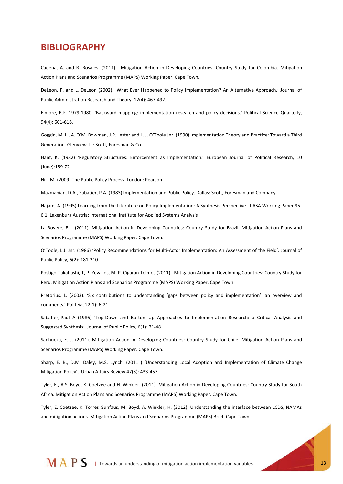## **BIBLIOGRAPHY**

Cadena, A. and R. Rosales. (2011). Mitigation Action in Developing Countries: Country Study for Colombia. Mitigation Action Plans and Scenarios Programme (MAPS) Working Paper. Cape Town.

DeLeon, P. and L. DeLeon (2002). 'What Ever Happened to Policy Implementation? An Alternative Approach.' Journal of Public Administration Research and Theory, 12(4): 467-492.

Elmore, R.F. 1979-1980. 'Backward mapping: implementation research and policy decisions.' Political Science Quarterly, 94(4): 601-616.

Goggin, M. L., A. O'M. Bowman, J.P. Lester and L. J. O'Toole Jnr. (1990) Implementation Theory and Practice: Toward a Third Generation. Glenview, Il.: Scott, Foresman & Co.

Hanf, K. (1982) 'Regulatory Structures: Enforcement as Implementation.' European Journal of Political Research, 10 (June):159-72

Hill, M. (2009) The Public Policy Process. London: Pearson

Mazmanian, D.A., Sabatier, P.A. (1983) Implementation and Public Policy. Dallas: Scott, Foresman and Company.

Najam, A. (1995) Learning from the Literature on Policy Implementation: A Synthesis Perspective. IIASA Working Paper 95- 6 1. Laxenburg Austria: International Institute for Applied Systems Analysis

La Rovere, E.L. (2011). Mitigation Action in Developing Countries: Country Study for Brazil. Mitigation Action Plans and Scenarios Programme (MAPS) Working Paper. Cape Town.

O'Toole, L.J. Jnr. (1986) 'Policy Recommendations for Multi-Actor Implementation: An Assessment of the Field'. Journal of Public Policy, 6(2): 181-210

Postigo-Takahashi, T, P. Zevallos, M. P. Cigarán Tolmos (2011). Mitigation Action in Developing Countries: Country Study for Peru. Mitigation Action Plans and Scenarios Programme (MAPS) Working Paper. Cape Town.

Pretorius, L. (2003). 'Six contributions to understanding 'gaps between policy and implementation': an overview and comments.' Politeia, 22(1): 6-21.

Sabatier, Paul A. (1986) 'Top-Down and Bottom-Up Approaches to Implementation Research: a Critical Analysis and Suggested Synthesis'. Journal of Public Policy, 6(1): 21-48

Sanhueza, E. J. (2011). Mitigation Action in Developing Countries: Country Study for Chile. Mitigation Action Plans and Scenarios Programme (MAPS) Working Paper. Cape Town.

Sharp, E. B., D.M. Daley, M.S. Lynch. (2011 ) 'Understanding Local Adoption and Implementation of Climate Change Mitigation Policy', Urban Affairs Review 47(3): 433-457.

Tyler, E., A.S. Boyd, K. Coetzee and H. Winkler. (2011). Mitigation Action in Developing Countries: Country Study for South Africa. Mitigation Action Plans and Scenarios Programme (MAPS) Working Paper. Cape Town.

Tyler, E. Coetzee, K. Torres Gunfaus, M. Boyd, A. Winkler, H. (2012). Understanding the interface between LCDS, NAMAs and mitigation actions. Mitigation Action Plans and Scenarios Programme (MAPS) Brief. Cape Town.